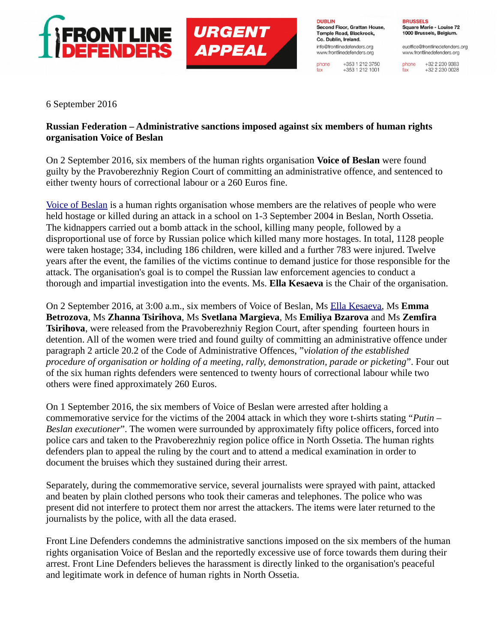



**DUBLIN** Second Floor, Grattan House, Temple Road, Blackrock. Co. Dublin, Ireland. info@frontlinedefenders.org www.frontlinedefenders.org

phone

fax

+353 1 212 3750

 $+353$  1 212 1001

**BRUSSELS** Square Marie - Louise 72 1000 Brussels, Belgium.

euoffice@frontlinedefenders.org www.frontlinedefenders.org

+32 2 230 9383 phone +32 2 230 0028 fax

6 September 2016

## **Russian Federation – Administrative sanctions imposed against six members of human rights organisation Voice of Beslan**

On 2 September 2016, six members of the human rights organisation **Voice of Beslan** were found guilty by the Pravoberezhniy Region Court of committing an administrative offence, and sentenced to either twenty hours of correctional labour or a 260 Euros fine.

[Voice of Beslan](http://www.golosbeslana.ru/) is a human rights organisation whose members are the relatives of people who were held hostage or killed during an attack in a school on 1-3 September 2004 in Beslan, North Ossetia. The kidnappers carried out a bomb attack in the school, killing many people, followed by a disproportional use of force by Russian police which killed many more hostages. In total, 1128 people were taken hostage; 334, including 186 children, were killed and a further 783 were injured. Twelve years after the event, the families of the victims continue to demand justice for those responsible for the attack. The organisation's goal is to compel the Russian law enforcement agencies to conduct a thorough and impartial investigation into the events. Ms. **Ella Kesaeva** is the Chair of the organisation.

On 2 September 2016, at 3:00 a.m., six members of Voice of Beslan, Ms [Ella Kesaeva,](https://www.frontlinedefenders.org/en/profile/ella-kesaeva) Ms **Emma Betrozova**, Ms **Zhanna Tsirihova**, Ms **Svetlana Margieva**, Ms **Emiliya Bzarova** and Ms **Zemfira Tsirihova**, were released from the Pravoberezhniy Region Court, after spending fourteen hours in detention. All of the women were tried and found guilty of committing an administrative offence under paragraph 2 article 20.2 of the Code of Administrative Offences, "*violation of the established procedure of organisation or holding of a meeting, rally, demonstration, parade or picketing*". Four out of the six human rights defenders were sentenced to twenty hours of correctional labour while two others were fined approximately 260 Euros.

On 1 September 2016, the six members of Voice of Beslan were arrested after holding a commemorative service for the victims of the 2004 attack in which they wore t-shirts stating "*Putin – Beslan executioner*". The women were surrounded by approximately fifty police officers, forced into police cars and taken to the Pravoberezhniy region police office in North Ossetia. The human rights defenders plan to appeal the ruling by the court and to attend a medical examination in order to document the bruises which they sustained during their arrest.

Separately, during the commemorative service, several journalists were sprayed with paint, attacked and beaten by plain clothed persons who took their cameras and telephones. The police who was present did not interfere to protect them nor arrest the attackers. The items were later returned to the journalists by the police, with all the data erased.

Front Line Defenders condemns the administrative sanctions imposed on the six members of the human rights organisation Voice of Beslan and the reportedly excessive use of force towards them during their arrest. Front Line Defenders believes the harassment is directly linked to the organisation's peaceful and legitimate work in defence of human rights in North Ossetia.